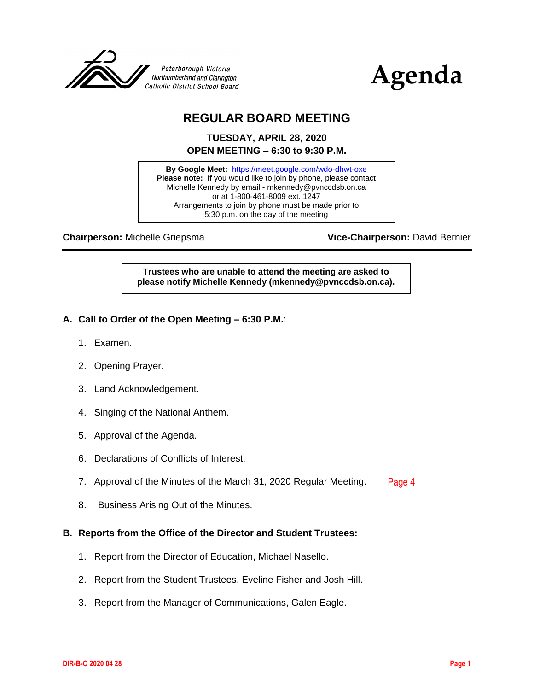



# **REGULAR BOARD MEETING**

**TUESDAY, APRIL 28, 2020 OPEN MEETING – 6:30 to 9:30 P.M.**

**By Google Meet:** <https://meet.google.com/wdo-dhwt-oxe> **Please note:** If you would like to join by phone, please contact Michelle Kennedy by email - mkennedy@pvnccdsb.on.ca or at 1-800-461-8009 ext. 1247 Arrangements to join by phone must be made prior to 5:30 p.m. on the day of the meeting

**Chairperson:** Michelle Griepsma **Vice-Chairperson:** David Bernier

**Trustees who are unable to attend the meeting are asked to please notify Michelle Kennedy (mkennedy@pvnccdsb.on.ca).**

# **A. Call to Order of the Open Meeting – 6:30 P.M.**:

- 1. Examen.
- 2. Opening Prayer.
- 3. Land Acknowledgement.
- 4. Singing of the National Anthem.
- 5. Approval of the Agenda.
- 6. Declarations of Conflicts of Interest.
- 7. Approval of the Minutes of the March 31, 2020 Regular Meeting. [Page 4](#page-3-0)
- 8. Business Arising Out of the Minutes.

## **B. Reports from the Office of the Director and Student Trustees:**

- 1. Report from the Director of Education, Michael Nasello.
- 2. Report from the Student Trustees, Eveline Fisher and Josh Hill.
- 3. Report from the Manager of Communications, Galen Eagle.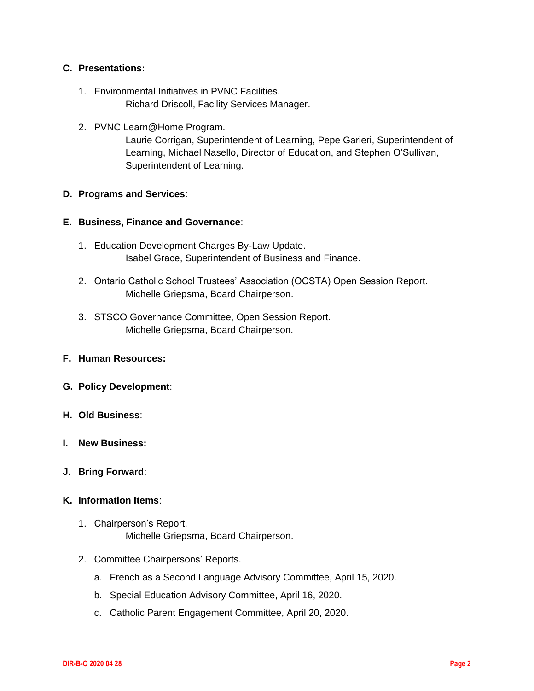# **C. Presentations:**

- 1. Environmental Initiatives in PVNC Facilities. Richard Driscoll, Facility Services Manager.
- 2. PVNC Learn@Home Program.

Laurie Corrigan, Superintendent of Learning, Pepe Garieri, Superintendent of Learning, Michael Nasello, Director of Education, and Stephen O'Sullivan, Superintendent of Learning.

# **D. Programs and Services**:

# **E. Business, Finance and Governance**:

- 1. Education Development Charges By-Law Update. Isabel Grace, Superintendent of Business and Finance.
- 2. Ontario Catholic School Trustees' Association (OCSTA) Open Session Report. Michelle Griepsma, Board Chairperson.
- 3. STSCO Governance Committee, Open Session Report. Michelle Griepsma, Board Chairperson.

## **F. Human Resources:**

- **G. Policy Development**:
- **H. Old Business**:
- **I. New Business:**
- **J. Bring Forward**:

# **K. Information Items**:

- 1. Chairperson's Report. Michelle Griepsma, Board Chairperson.
- 2. Committee Chairpersons' Reports.
	- a. French as a Second Language Advisory Committee, April 15, 2020.
	- b. Special Education Advisory Committee, April 16, 2020.
	- c. Catholic Parent Engagement Committee, April 20, 2020.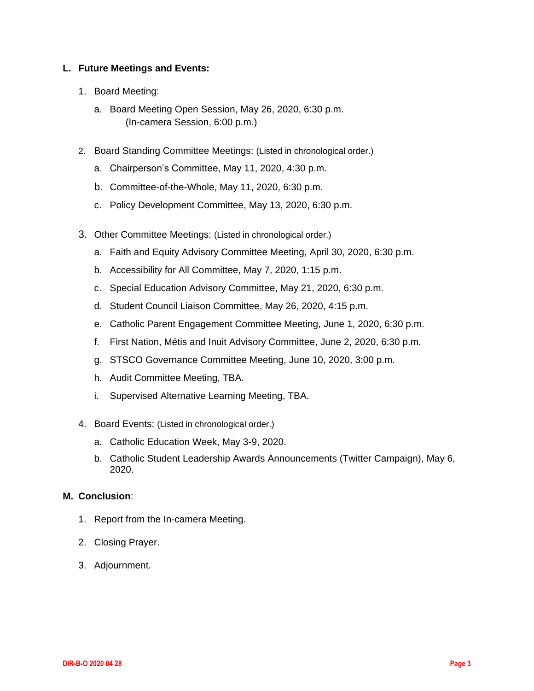# **L. Future Meetings and Events:**

- 1. Board Meeting:
	- a. Board Meeting Open Session, May 26, 2020, 6:30 p.m. (In-camera Session, 6:00 p.m.)
- 2. Board Standing Committee Meetings: (Listed in chronological order.)
	- a. Chairperson's Committee, May 11, 2020, 4:30 p.m.
	- b. Committee-of-the-Whole, May 11, 2020, 6:30 p.m.
	- c. Policy Development Committee, May 13, 2020, 6:30 p.m.
- 3. Other Committee Meetings: (Listed in chronological order.)
	- a. Faith and Equity Advisory Committee Meeting, April 30, 2020, 6:30 p.m.
	- b. Accessibility for All Committee, May 7, 2020, 1:15 p.m.
	- c. Special Education Advisory Committee, May 21, 2020, 6:30 p.m.
	- d. Student Council Liaison Committee, May 26, 2020, 4:15 p.m.
	- e. Catholic Parent Engagement Committee Meeting, June 1, 2020, 6:30 p.m.
	- f. First Nation, Métis and Inuit Advisory Committee, June 2, 2020, 6:30 p.m.
	- g. STSCO Governance Committee Meeting, June 10, 2020, 3:00 p.m.
	- h. Audit Committee Meeting, TBA.
	- i. Supervised Alternative Learning Meeting, TBA.
- 4. Board Events: (Listed in chronological order.)
	- a. Catholic Education Week, May 3-9, 2020.
	- b. Catholic Student Leadership Awards Announcements (Twitter Campaign), May 6, 2020.

## **M. Conclusion**:

- 1. Report from the In-camera Meeting.
- 2. Closing Prayer.
- 3. Adjournment.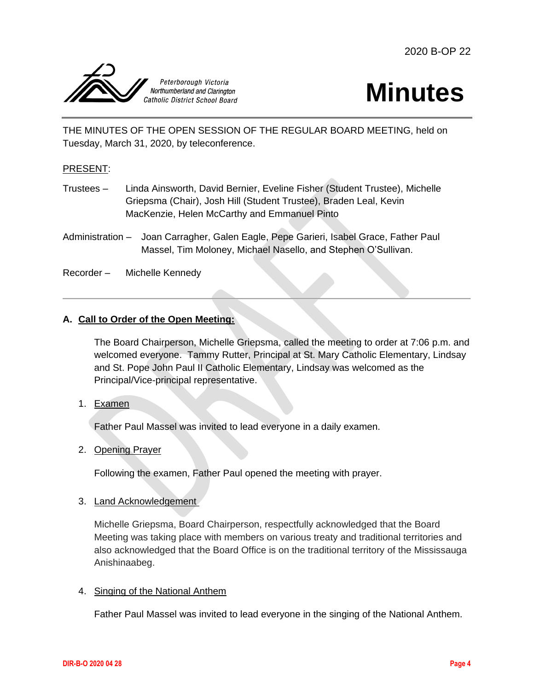<span id="page-3-0"></span>



THE MINUTES OF THE OPEN SESSION OF THE REGULAR BOARD MEETING, held on Tuesday, March 31, 2020, by teleconference.

## PRESENT:

- Trustees Linda Ainsworth, David Bernier, Eveline Fisher (Student Trustee), Michelle Griepsma (Chair), Josh Hill (Student Trustee), Braden Leal, Kevin MacKenzie, Helen McCarthy and Emmanuel Pinto
- Administration Joan Carragher, Galen Eagle, Pepe Garieri, Isabel Grace, Father Paul Massel, Tim Moloney, Michael Nasello, and Stephen O'Sullivan.

Recorder – Michelle Kennedy

# **A. Call to Order of the Open Meeting:**

The Board Chairperson, Michelle Griepsma, called the meeting to order at 7:06 p.m. and welcomed everyone. Tammy Rutter, Principal at St. Mary Catholic Elementary, Lindsay and St. Pope John Paul II Catholic Elementary, Lindsay was welcomed as the Principal/Vice-principal representative.

1. Examen

Father Paul Massel was invited to lead everyone in a daily examen.

## 2. Opening Prayer

Following the examen, Father Paul opened the meeting with prayer.

#### 3. Land Acknowledgement

Michelle Griepsma, Board Chairperson, respectfully acknowledged that the Board Meeting was taking place with members on various treaty and traditional territories and also acknowledged that the Board Office is on the traditional territory of the Mississauga Anishinaabeg.

#### 4. Singing of the National Anthem

Father Paul Massel was invited to lead everyone in the singing of the National Anthem.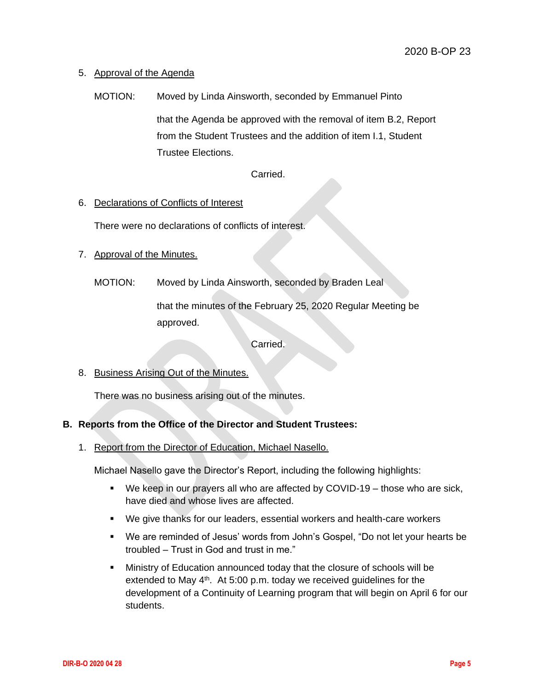# 5. Approval of the Agenda

MOTION: Moved by Linda Ainsworth, seconded by Emmanuel Pinto

that the Agenda be approved with the removal of item B.2, Report from the Student Trustees and the addition of item I.1, Student Trustee Elections.

Carried.

## 6. Declarations of Conflicts of Interest

There were no declarations of conflicts of interest.

## 7. Approval of the Minutes.

MOTION: Moved by Linda Ainsworth, seconded by Braden Leal

that the minutes of the February 25, 2020 Regular Meeting be approved.

Carried.

#### 8. Business Arising Out of the Minutes.

There was no business arising out of the minutes.

## **B. Reports from the Office of the Director and Student Trustees:**

1. Report from the Director of Education, Michael Nasello.

Michael Nasello gave the Director's Report, including the following highlights:

- We keep in our prayers all who are affected by COVID-19 those who are sick, have died and whose lives are affected.
- We give thanks for our leaders, essential workers and health-care workers
- We are reminded of Jesus' words from John's Gospel, "Do not let your hearts be troubled – Trust in God and trust in me."
- Ministry of Education announced today that the closure of schools will be extended to May 4<sup>th</sup>. At 5:00 p.m. today we received guidelines for the development of a Continuity of Learning program that will begin on April 6 for our students.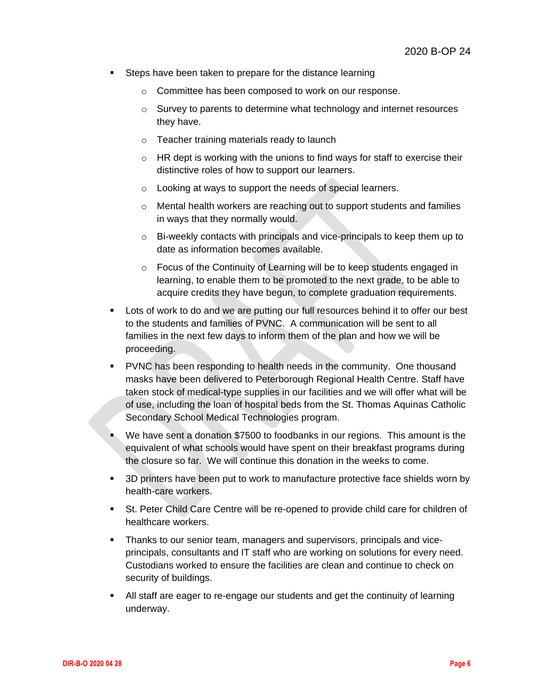- Steps have been taken to prepare for the distance learning
	- o Committee has been composed to work on our response.
	- o Survey to parents to determine what technology and internet resources they have.
	- o Teacher training materials ready to launch
	- $\circ$  HR dept is working with the unions to find ways for staff to exercise their distinctive roles of how to support our learners.
	- o Looking at ways to support the needs of special learners.
	- o Mental health workers are reaching out to support students and families in ways that they normally would.
	- o Bi-weekly contacts with principals and vice-principals to keep them up to date as information becomes available.
	- o Focus of the Continuity of Learning will be to keep students engaged in learning, to enable them to be promoted to the next grade, to be able to acquire credits they have begun, to complete graduation requirements.
- Lots of work to do and we are putting our full resources behind it to offer our best to the students and families of PVNC. A communication will be sent to all families in the next few days to inform them of the plan and how we will be proceeding.
- PVNC has been responding to health needs in the community. One thousand masks have been delivered to Peterborough Regional Health Centre. Staff have taken stock of medical-type supplies in our facilities and we will offer what will be of use, including the loan of hospital beds from the St. Thomas Aquinas Catholic Secondary School Medical Technologies program.
- We have sent a donation \$7500 to foodbanks in our regions. This amount is the equivalent of what schools would have spent on their breakfast programs during the closure so far. We will continue this donation in the weeks to come.
- 3D printers have been put to work to manufacture protective face shields worn by health-care workers.
- St. Peter Child Care Centre will be re-opened to provide child care for children of healthcare workers.
- Thanks to our senior team, managers and supervisors, principals and viceprincipals, consultants and IT staff who are working on solutions for every need. Custodians worked to ensure the facilities are clean and continue to check on security of buildings.
- All staff are eager to re-engage our students and get the continuity of learning underway.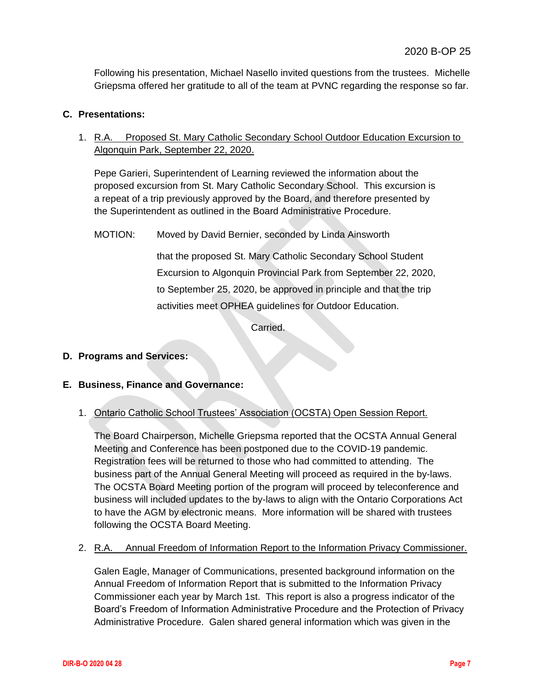Following his presentation, Michael Nasello invited questions from the trustees. Michelle Griepsma offered her gratitude to all of the team at PVNC regarding the response so far.

# **C. Presentations:**

1. R.A. Proposed St. Mary Catholic Secondary School Outdoor Education Excursion to Algonquin Park, September 22, 2020.

Pepe Garieri, Superintendent of Learning reviewed the information about the proposed excursion from St. Mary Catholic Secondary School. This excursion is a repeat of a trip previously approved by the Board, and therefore presented by the Superintendent as outlined in the Board Administrative Procedure.

MOTION: Moved by David Bernier, seconded by Linda Ainsworth

that the proposed St. Mary Catholic Secondary School Student Excursion to Algonquin Provincial Park from September 22, 2020, to September 25, 2020, be approved in principle and that the trip activities meet OPHEA guidelines for Outdoor Education.

Carried.

## **D. Programs and Services:**

## **E. Business, Finance and Governance:**

## 1. Ontario Catholic School Trustees' Association (OCSTA) Open Session Report.

The Board Chairperson, Michelle Griepsma reported that the OCSTA Annual General Meeting and Conference has been postponed due to the COVID-19 pandemic. Registration fees will be returned to those who had committed to attending. The business part of the Annual General Meeting will proceed as required in the by-laws. The OCSTA Board Meeting portion of the program will proceed by teleconference and business will included updates to the by-laws to align with the Ontario Corporations Act to have the AGM by electronic means. More information will be shared with trustees following the OCSTA Board Meeting.

2. R.A. Annual Freedom of Information Report to the Information Privacy Commissioner.

Galen Eagle, Manager of Communications, presented background information on the Annual Freedom of Information Report that is submitted to the Information Privacy Commissioner each year by March 1st. This report is also a progress indicator of the Board's Freedom of Information Administrative Procedure and the Protection of Privacy Administrative Procedure. Galen shared general information which was given in the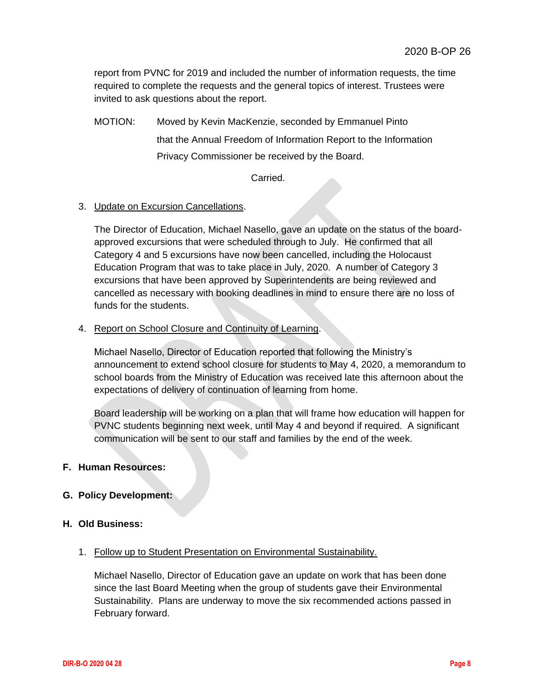report from PVNC for 2019 and included the number of information requests, the time required to complete the requests and the general topics of interest. Trustees were invited to ask questions about the report.

MOTION: Moved by Kevin MacKenzie, seconded by Emmanuel Pinto that the Annual Freedom of Information Report to the Information Privacy Commissioner be received by the Board.

Carried.

# 3. Update on Excursion Cancellations.

The Director of Education, Michael Nasello, gave an update on the status of the boardapproved excursions that were scheduled through to July. He confirmed that all Category 4 and 5 excursions have now been cancelled, including the Holocaust Education Program that was to take place in July, 2020. A number of Category 3 excursions that have been approved by Superintendents are being reviewed and cancelled as necessary with booking deadlines in mind to ensure there are no loss of funds for the students.

# 4. Report on School Closure and Continuity of Learning.

Michael Nasello, Director of Education reported that following the Ministry's announcement to extend school closure for students to May 4, 2020, a memorandum to school boards from the Ministry of Education was received late this afternoon about the expectations of delivery of continuation of learning from home.

Board leadership will be working on a plan that will frame how education will happen for PVNC students beginning next week, until May 4 and beyond if required. A significant communication will be sent to our staff and families by the end of the week.

## **F. Human Resources:**

# **G. Policy Development:**

## **H. Old Business:**

## 1. Follow up to Student Presentation on Environmental Sustainability.

Michael Nasello, Director of Education gave an update on work that has been done since the last Board Meeting when the group of students gave their Environmental Sustainability. Plans are underway to move the six recommended actions passed in February forward.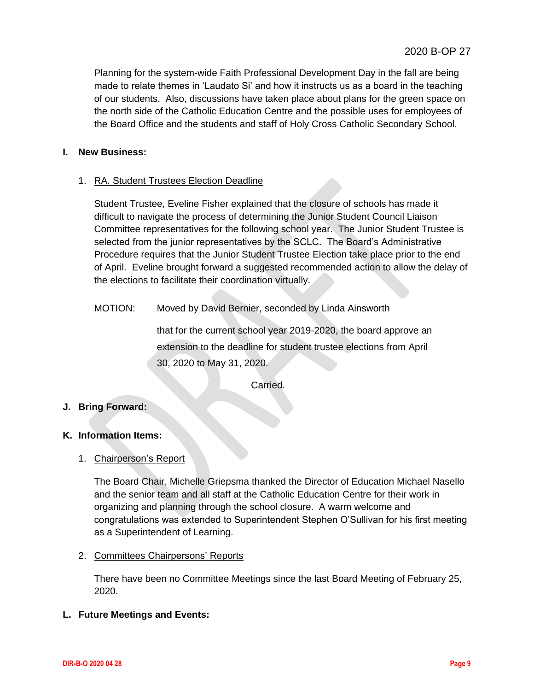Planning for the system-wide Faith Professional Development Day in the fall are being made to relate themes in 'Laudato Si' and how it instructs us as a board in the teaching of our students. Also, discussions have taken place about plans for the green space on the north side of the Catholic Education Centre and the possible uses for employees of the Board Office and the students and staff of Holy Cross Catholic Secondary School.

# **I. New Business:**

# 1. RA. Student Trustees Election Deadline

Student Trustee, Eveline Fisher explained that the closure of schools has made it difficult to navigate the process of determining the Junior Student Council Liaison Committee representatives for the following school year. The Junior Student Trustee is selected from the junior representatives by the SCLC. The Board's Administrative Procedure requires that the Junior Student Trustee Election take place prior to the end of April. Eveline brought forward a suggested recommended action to allow the delay of the elections to facilitate their coordination virtually.

MOTION: Moved by David Bernier, seconded by Linda Ainsworth

that for the current school year 2019-2020, the board approve an extension to the deadline for student trustee elections from April 30, 2020 to May 31, 2020.

Carried.

## **J. Bring Forward:**

## **K. Information Items:**

1. Chairperson's Report

The Board Chair, Michelle Griepsma thanked the Director of Education Michael Nasello and the senior team and all staff at the Catholic Education Centre for their work in organizing and planning through the school closure. A warm welcome and congratulations was extended to Superintendent Stephen O'Sullivan for his first meeting as a Superintendent of Learning.

## 2. Committees Chairpersons' Reports

There have been no Committee Meetings since the last Board Meeting of February 25, 2020.

## **L. Future Meetings and Events:**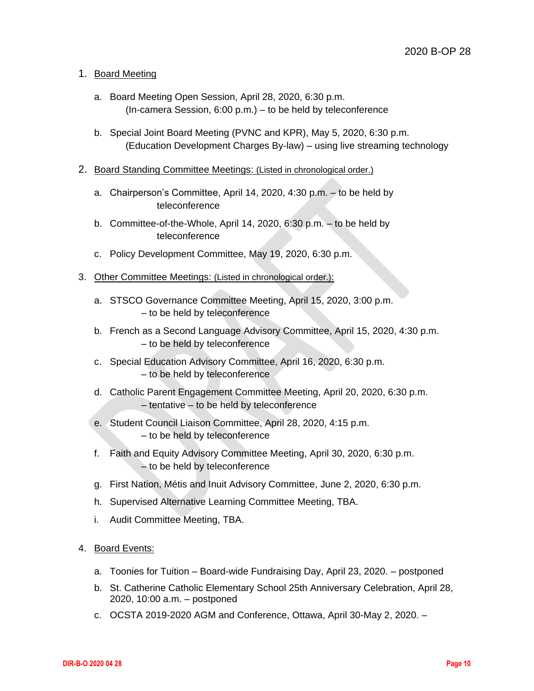# 1. Board Meeting

- a. Board Meeting Open Session, April 28, 2020, 6:30 p.m. (In-camera Session, 6:00 p.m.) – to be held by teleconference
- b. Special Joint Board Meeting (PVNC and KPR), May 5, 2020, 6:30 p.m. (Education Development Charges By-law) – using live streaming technology
- 2. Board Standing Committee Meetings: (Listed in chronological order.)
	- a. Chairperson's Committee, April 14, 2020, 4:30 p.m. to be held by teleconference
	- b. Committee-of-the-Whole, April 14, 2020, 6:30 p.m. to be held by teleconference
	- c. Policy Development Committee, May 19, 2020, 6:30 p.m.
- 3. Other Committee Meetings: (Listed in chronological order.):
	- a. STSCO Governance Committee Meeting, April 15, 2020, 3:00 p.m. – to be held by teleconference
	- b. French as a Second Language Advisory Committee, April 15, 2020, 4:30 p.m. – to be held by teleconference
	- c. Special Education Advisory Committee, April 16, 2020, 6:30 p.m. – to be held by teleconference
	- d. Catholic Parent Engagement Committee Meeting, April 20, 2020, 6:30 p.m. – tentative – to be held by teleconference
	- e. Student Council Liaison Committee, April 28, 2020, 4:15 p.m. – to be held by teleconference
	- f. Faith and Equity Advisory Committee Meeting, April 30, 2020, 6:30 p.m. – to be held by teleconference
	- g. First Nation, Métis and Inuit Advisory Committee, June 2, 2020, 6:30 p.m.
	- h. Supervised Alternative Learning Committee Meeting, TBA.
	- i. Audit Committee Meeting, TBA.
- 4. Board Events:
	- a. Toonies for Tuition Board-wide Fundraising Day, April 23, 2020. postponed
	- b. St. Catherine Catholic Elementary School 25th Anniversary Celebration, April 28, 2020, 10:00 a.m. – postponed
	- c. OCSTA 2019-2020 AGM and Conference, Ottawa, April 30-May 2, 2020. –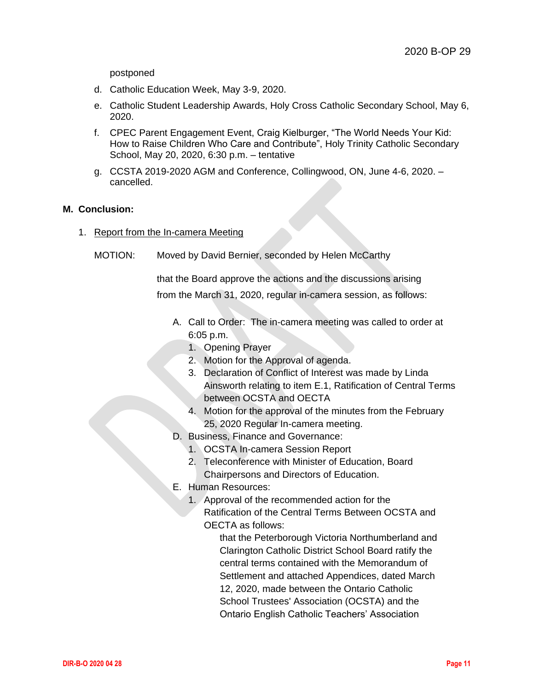postponed

- d. Catholic Education Week, May 3-9, 2020.
- e. Catholic Student Leadership Awards, Holy Cross Catholic Secondary School, May 6, 2020.
- f. CPEC Parent Engagement Event, Craig Kielburger, "The World Needs Your Kid: How to Raise Children Who Care and Contribute", Holy Trinity Catholic Secondary School, May 20, 2020, 6:30 p.m. – tentative
- g. CCSTA 2019-2020 AGM and Conference, Collingwood, ON, June 4-6, 2020. cancelled.

## **M. Conclusion:**

- 1. Report from the In-camera Meeting
	- MOTION: Moved by David Bernier, seconded by Helen McCarthy

that the Board approve the actions and the discussions arising from the March 31, 2020, regular in-camera session, as follows:

- A. Call to Order: The in-camera meeting was called to order at 6:05 p.m.
	- 1. Opening Prayer
	- 2. Motion for the Approval of agenda.
	- 3. Declaration of Conflict of Interest was made by Linda Ainsworth relating to item E.1, Ratification of Central Terms between OCSTA and OECTA
	- 4. Motion for the approval of the minutes from the February 25, 2020 Regular In-camera meeting.
- D. Business, Finance and Governance:
	- 1. OCSTA In-camera Session Report
	- 2. Teleconference with Minister of Education, Board Chairpersons and Directors of Education.
- E. Human Resources:
	- 1. Approval of the recommended action for the Ratification of the Central Terms Between OCSTA and OECTA as follows:

that the Peterborough Victoria Northumberland and Clarington Catholic District School Board ratify the central terms contained with the Memorandum of Settlement and attached Appendices, dated March 12, 2020, made between the Ontario Catholic School Trustees' Association (OCSTA) and the Ontario English Catholic Teachers' Association